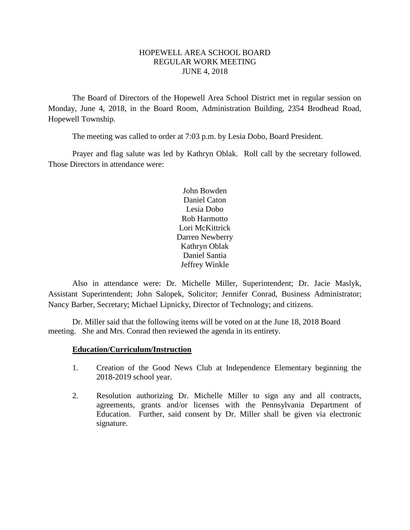#### HOPEWELL AREA SCHOOL BOARD REGULAR WORK MEETING JUNE 4, 2018

The Board of Directors of the Hopewell Area School District met in regular session on Monday, June 4, 2018, in the Board Room, Administration Building, 2354 Brodhead Road, Hopewell Township.

The meeting was called to order at 7:03 p.m. by Lesia Dobo, Board President.

Prayer and flag salute was led by Kathryn Oblak. Roll call by the secretary followed. Those Directors in attendance were:

> John Bowden Daniel Caton Lesia Dobo Rob Harmotto Lori McKittrick Darren Newberry Kathryn Oblak Daniel Santia Jeffrey Winkle

Also in attendance were: Dr. Michelle Miller, Superintendent; Dr. Jacie Maslyk, Assistant Superintendent; John Salopek, Solicitor; Jennifer Conrad, Business Administrator; Nancy Barber, Secretary; Michael Lipnicky, Director of Technology; and citizens.

Dr. Miller said that the following items will be voted on at the June 18, 2018 Board meeting. She and Mrs. Conrad then reviewed the agenda in its entirety.

#### **Education/Curriculum/Instruction**

- 1. Creation of the Good News Club at Independence Elementary beginning the 2018-2019 school year.
- 2. Resolution authorizing Dr. Michelle Miller to sign any and all contracts, agreements, grants and/or licenses with the Pennsylvania Department of Education. Further, said consent by Dr. Miller shall be given via electronic signature.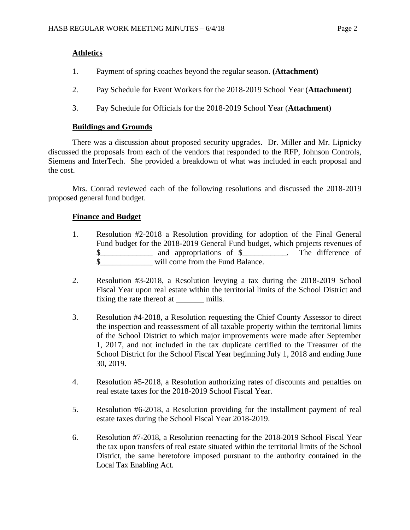## **Athletics**

- 1. Payment of spring coaches beyond the regular season. **(Attachment)**
- 2. Pay Schedule for Event Workers for the 2018-2019 School Year (**Attachment**)
- 3. Pay Schedule for Officials for the 2018-2019 School Year (**Attachment**)

## **Buildings and Grounds**

There was a discussion about proposed security upgrades. Dr. Miller and Mr. Lipnicky discussed the proposals from each of the vendors that responded to the RFP, Johnson Controls, Siemens and InterTech. She provided a breakdown of what was included in each proposal and the cost.

Mrs. Conrad reviewed each of the following resolutions and discussed the 2018-2019 proposed general fund budget.

## **Finance and Budget**

- 1. Resolution #2-2018 a Resolution providing for adoption of the Final General Fund budget for the 2018-2019 General Fund budget, which projects revenues of \$\_\_\_\_\_\_\_\_\_\_\_\_\_ and appropriations of \$\_\_\_\_\_\_\_\_\_\_\_. The difference of \$\_\_\_\_\_\_\_\_\_\_\_\_\_ will come from the Fund Balance.
- 2. Resolution #3-2018, a Resolution levying a tax during the 2018-2019 School Fiscal Year upon real estate within the territorial limits of the School District and fixing the rate thereof at \_\_\_\_\_\_\_\_ mills.
- 3. Resolution #4-2018, a Resolution requesting the Chief County Assessor to direct the inspection and reassessment of all taxable property within the territorial limits of the School District to which major improvements were made after September 1, 2017, and not included in the tax duplicate certified to the Treasurer of the School District for the School Fiscal Year beginning July 1, 2018 and ending June 30, 2019.
- 4. Resolution #5-2018, a Resolution authorizing rates of discounts and penalties on real estate taxes for the 2018-2019 School Fiscal Year.
- 5. Resolution #6-2018, a Resolution providing for the installment payment of real estate taxes during the School Fiscal Year 2018-2019.
- 6. Resolution #7-2018, a Resolution reenacting for the 2018-2019 School Fiscal Year the tax upon transfers of real estate situated within the territorial limits of the School District, the same heretofore imposed pursuant to the authority contained in the Local Tax Enabling Act.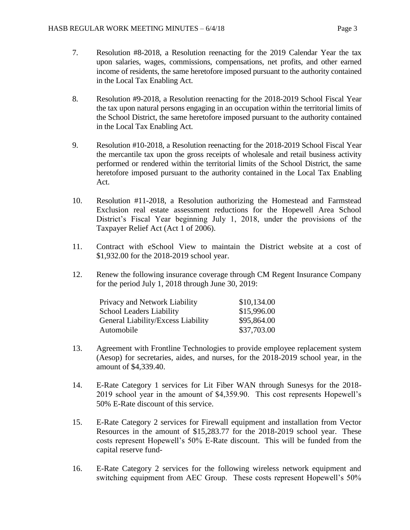- 7. Resolution #8-2018, a Resolution reenacting for the 2019 Calendar Year the tax upon salaries, wages, commissions, compensations, net profits, and other earned income of residents, the same heretofore imposed pursuant to the authority contained in the Local Tax Enabling Act.
- 8. Resolution #9-2018, a Resolution reenacting for the 2018-2019 School Fiscal Year the tax upon natural persons engaging in an occupation within the territorial limits of the School District, the same heretofore imposed pursuant to the authority contained in the Local Tax Enabling Act.
- 9. Resolution #10-2018, a Resolution reenacting for the 2018-2019 School Fiscal Year the mercantile tax upon the gross receipts of wholesale and retail business activity performed or rendered within the territorial limits of the School District, the same heretofore imposed pursuant to the authority contained in the Local Tax Enabling Act.
- 10. Resolution #11-2018, a Resolution authorizing the Homestead and Farmstead Exclusion real estate assessment reductions for the Hopewell Area School District's Fiscal Year beginning July 1, 2018, under the provisions of the Taxpayer Relief Act (Act 1 of 2006).
- 11. Contract with eSchool View to maintain the District website at a cost of \$1,932.00 for the 2018-2019 school year.
- 12. Renew the following insurance coverage through CM Regent Insurance Company for the period July 1, 2018 through June 30, 2019:

| Privacy and Network Liability      | \$10,134.00 |
|------------------------------------|-------------|
| School Leaders Liability           | \$15,996.00 |
| General Liability/Excess Liability | \$95,864.00 |
| Automobile                         | \$37,703.00 |

- 13. Agreement with Frontline Technologies to provide employee replacement system (Aesop) for secretaries, aides, and nurses, for the 2018-2019 school year, in the amount of \$4,339.40.
- 14. E-Rate Category 1 services for Lit Fiber WAN through Sunesys for the 2018- 2019 school year in the amount of \$4,359.90. This cost represents Hopewell's 50% E-Rate discount of this service.
- 15. E-Rate Category 2 services for Firewall equipment and installation from Vector Resources in the amount of \$15,283.77 for the 2018-2019 school year. These costs represent Hopewell's 50% E-Rate discount. This will be funded from the capital reserve fund-
- 16. E-Rate Category 2 services for the following wireless network equipment and switching equipment from AEC Group. These costs represent Hopewell's 50%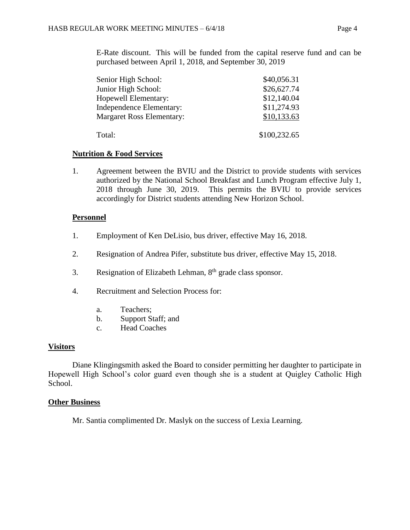E-Rate discount. This will be funded from the capital reserve fund and can be purchased between April 1, 2018, and September 30, 2019

| Senior High School:              | \$40,056.31  |
|----------------------------------|--------------|
| Junior High School:              | \$26,627.74  |
| Hopewell Elementary:             | \$12,140.04  |
| <b>Independence Elementary:</b>  | \$11,274.93  |
| <b>Margaret Ross Elementary:</b> | \$10,133.63  |
| Total:                           | \$100,232.65 |

#### **Nutrition & Food Services**

1. Agreement between the BVIU and the District to provide students with services authorized by the National School Breakfast and Lunch Program effective July 1, 2018 through June 30, 2019. This permits the BVIU to provide services accordingly for District students attending New Horizon School.

#### **Personnel**

- 1. Employment of Ken DeLisio, bus driver, effective May 16, 2018.
- 2. Resignation of Andrea Pifer, substitute bus driver, effective May 15, 2018.
- 3. Resignation of Elizabeth Lehman,  $8<sup>th</sup>$  grade class sponsor.
- 4. Recruitment and Selection Process for:
	- a. Teachers;
	- b. Support Staff; and
	- c. Head Coaches

#### **Visitors**

Diane Klingingsmith asked the Board to consider permitting her daughter to participate in Hopewell High School's color guard even though she is a student at Quigley Catholic High School.

#### **Other Business**

Mr. Santia complimented Dr. Maslyk on the success of Lexia Learning.